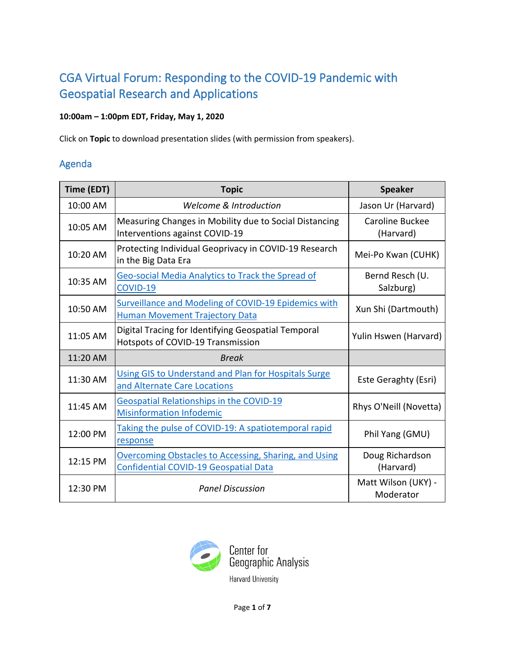# CGA Virtual Forum: Responding to the COVID-19 Pandemic with Geospatial Research and Applications

## **10:00am – 1:00pm EDT, Friday, May 1, 2020**

Click on **Topic** to download presentation slides (with permission from speakers).

# Agenda

| Time (EDT) | <b>Topic</b>                                                                                          | <b>Speaker</b>                   |
|------------|-------------------------------------------------------------------------------------------------------|----------------------------------|
| 10:00 AM   | <b>Welcome &amp; Introduction</b>                                                                     | Jason Ur (Harvard)               |
| 10:05 AM   | Measuring Changes in Mobility due to Social Distancing<br>Interventions against COVID-19              | Caroline Buckee<br>(Harvard)     |
| 10:20 AM   | Protecting Individual Geoprivacy in COVID-19 Research<br>in the Big Data Era                          | Mei-Po Kwan (CUHK)               |
| 10:35 AM   | <b>Geo-social Media Analytics to Track the Spread of</b><br>COVID-19                                  | Bernd Resch (U.<br>Salzburg)     |
| 10:50 AM   | <b>Surveillance and Modeling of COVID-19 Epidemics with</b><br><b>Human Movement Trajectory Data</b>  | Xun Shi (Dartmouth)              |
| 11:05 AM   | Digital Tracing for Identifying Geospatial Temporal<br>Hotspots of COVID-19 Transmission              | Yulin Hswen (Harvard)            |
| 11:20 AM   | <b>Break</b>                                                                                          |                                  |
| 11:30 AM   | Using GIS to Understand and Plan for Hospitals Surge<br>and Alternate Care Locations                  | Este Geraghty (Esri)             |
| 11:45 AM   | <b>Geospatial Relationships in the COVID-19</b><br><b>Misinformation Infodemic</b>                    | Rhys O'Neill (Novetta)           |
| 12:00 PM   | Taking the pulse of COVID-19: A spatiotemporal rapid<br>response                                      | Phil Yang (GMU)                  |
| 12:15 PM   | Overcoming Obstacles to Accessing, Sharing, and Using<br><b>Confidential COVID-19 Geospatial Data</b> | Doug Richardson<br>(Harvard)     |
| 12:30 PM   | <b>Panel Discussion</b>                                                                               | Matt Wilson (UKY) -<br>Moderator |

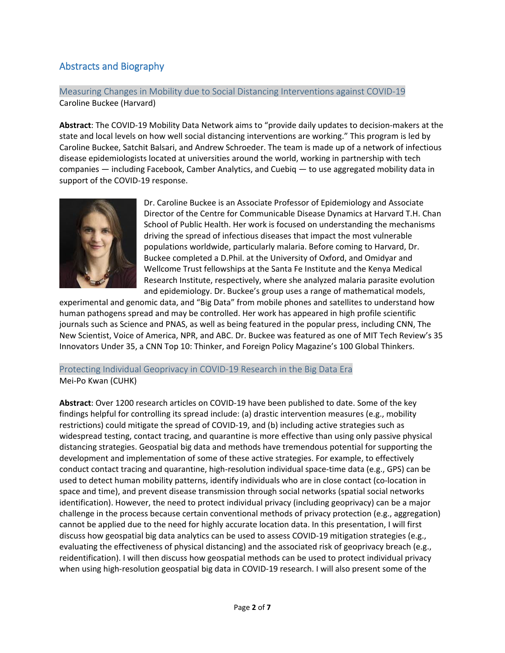# Abstracts and Biography

### Measuring Changes in Mobility due to Social Distancing Interventions against COVID-19 Caroline Buckee (Harvard)

**Abstract**: The COVID-19 Mobility Data Network aims to "provide daily updates to decision-makers at the state and local levels on how well social distancing interventions are working." This program is led by Caroline Buckee, Satchit Balsari, and Andrew Schroeder. The team is made up of a network of infectious disease epidemiologists located at universities around the world, working in partnership with tech companies — including Facebook, Camber Analytics, and Cuebiq — to use aggregated mobility data in support of the COVID-19 response.



Dr. Caroline Buckee is an Associate Professor of Epidemiology and Associate Director of the Centre for Communicable Disease Dynamics at Harvard T.H. Chan School of Public Health. Her work is focused on understanding the mechanisms driving the spread of infectious diseases that impact the most vulnerable populations worldwide, particularly malaria. Before coming to Harvard, Dr. Buckee completed a D.Phil. at the University of Oxford, and Omidyar and Wellcome Trust fellowships at the Santa Fe Institute and the Kenya Medical Research Institute, respectively, where she analyzed malaria parasite evolution and epidemiology. Dr. Buckee's group uses a range of mathematical models,

experimental and genomic data, and "Big Data" from mobile phones and satellites to understand how human pathogens spread and may be controlled. Her work has appeared in high profile scientific journals such as Science and PNAS, as well as being featured in the popular press, including CNN, The New Scientist, Voice of America, NPR, and ABC. Dr. Buckee was featured as one of MIT Tech Review's 35 Innovators Under 35, a CNN Top 10: Thinker, and Foreign Policy Magazine's 100 Global Thinkers.

#### Protecting Individual Geoprivacy in COVID-19 Research in the Big Data Era Mei-Po Kwan (CUHK)

**Abstract**: Over 1200 research articles on COVID-19 have been published to date. Some of the key findings helpful for controlling its spread include: (a) drastic intervention measures (e.g., mobility restrictions) could mitigate the spread of COVID-19, and (b) including active strategies such as widespread testing, contact tracing, and quarantine is more effective than using only passive physical distancing strategies. Geospatial big data and methods have tremendous potential for supporting the development and implementation of some of these active strategies. For example, to effectively conduct contact tracing and quarantine, high-resolution individual space-time data (e.g., GPS) can be used to detect human mobility patterns, identify individuals who are in close contact (co-location in space and time), and prevent disease transmission through social networks (spatial social networks identification). However, the need to protect individual privacy (including geoprivacy) can be a major challenge in the process because certain conventional methods of privacy protection (e.g., aggregation) cannot be applied due to the need for highly accurate location data. In this presentation, I will first discuss how geospatial big data analytics can be used to assess COVID-19 mitigation strategies (e.g., evaluating the effectiveness of physical distancing) and the associated risk of geoprivacy breach (e.g., reidentification). I will then discuss how geospatial methods can be used to protect individual privacy when using high-resolution geospatial big data in COVID-19 research. I will also present some of the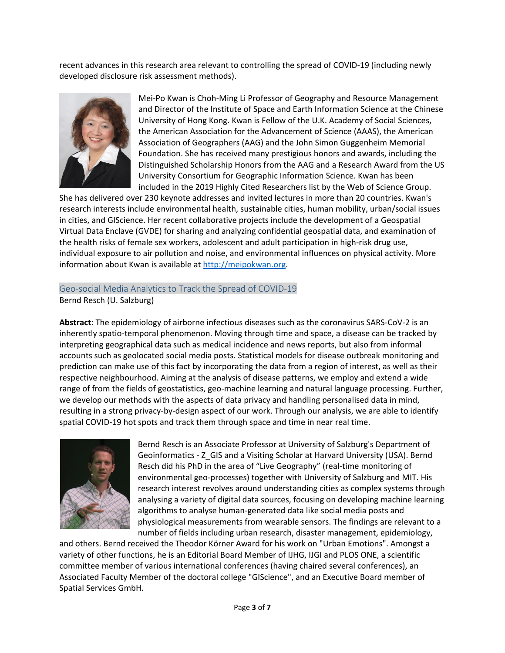recent advances in this research area relevant to controlling the spread of COVID-19 (including newly developed disclosure risk assessment methods).



Mei-Po Kwan is Choh-Ming Li Professor of Geography and Resource Management and Director of the Institute of Space and Earth Information Science at the Chinese University of Hong Kong. Kwan is Fellow of the U.K. Academy of Social Sciences, the American Association for the Advancement of Science (AAAS), the American Association of Geographers (AAG) and the John Simon Guggenheim Memorial Foundation. She has received many prestigious honors and awards, including the Distinguished Scholarship Honors from the AAG and a Research Award from the US University Consortium for Geographic Information Science. Kwan has been included in the 2019 Highly Cited Researchers list by the Web of Science Group.

She has delivered over 230 keynote addresses and invited lectures in more than 20 countries. Kwan's research interests include environmental health, sustainable cities, human mobility, urban/social issues in cities, and GIScience. Her recent collaborative projects include the development of a Geospatial Virtual Data Enclave (GVDE) for sharing and analyzing confidential geospatial data, and examination of the health risks of female sex workers, adolescent and adult participation in high-risk drug use, individual exposure to air pollution and noise, and environmental influences on physical activity. More information about Kwan is available at [http://meipokwan.org.](http://meipokwan.org/)

# Geo-social Media Analytics to Track the Spread of COVID-19

Bernd Resch (U. Salzburg)

**Abstract**: The epidemiology of airborne infectious diseases such as the coronavirus SARS-CoV-2 is an inherently spatio-temporal phenomenon. Moving through time and space, a disease can be tracked by interpreting geographical data such as medical incidence and news reports, but also from informal accounts such as geolocated social media posts. Statistical models for disease outbreak monitoring and prediction can make use of this fact by incorporating the data from a region of interest, as well as their respective neighbourhood. Aiming at the analysis of disease patterns, we employ and extend a wide range of from the fields of geostatistics, geo-machine learning and natural language processing. Further, we develop our methods with the aspects of data privacy and handling personalised data in mind, resulting in a strong privacy-by-design aspect of our work. Through our analysis, we are able to identify spatial COVID-19 hot spots and track them through space and time in near real time.



Bernd Resch is an Associate Professor at University of Salzburg's Department of Geoinformatics - Z\_GIS and a Visiting Scholar at Harvard University (USA). Bernd Resch did his PhD in the area of "Live Geography" (real-time monitoring of environmental geo-processes) together with University of Salzburg and MIT. His research interest revolves around understanding cities as complex systems through analysing a variety of digital data sources, focusing on developing machine learning algorithms to analyse human-generated data like social media posts and physiological measurements from wearable sensors. The findings are relevant to a number of fields including urban research, disaster management, epidemiology,

and others. Bernd received the Theodor Körner Award for his work on "Urban Emotions". Amongst a variety of other functions, he is an Editorial Board Member of IJHG, IJGI and PLOS ONE, a scientific committee member of various international conferences (having chaired several conferences), an Associated Faculty Member of the doctoral college "GIScience", and an Executive Board member of Spatial Services GmbH.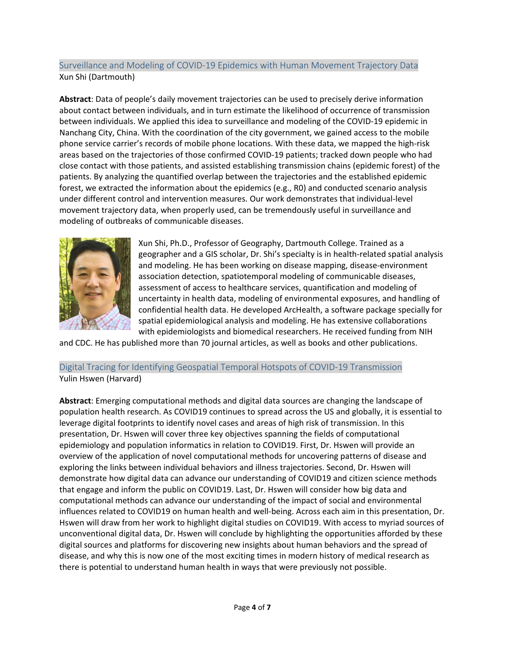## Surveillance and Modeling of COVID-19 Epidemics with Human Movement Trajectory Data Xun Shi (Dartmouth)

**Abstract**: Data of people's daily movement trajectories can be used to precisely derive information about contact between individuals, and in turn estimate the likelihood of occurrence of transmission between individuals. We applied this idea to surveillance and modeling of the COVID-19 epidemic in Nanchang City, China. With the coordination of the city government, we gained access to the mobile phone service carrier's records of mobile phone locations. With these data, we mapped the high-risk areas based on the trajectories of those confirmed COVID-19 patients; tracked down people who had close contact with those patients, and assisted establishing transmission chains (epidemic forest) of the patients. By analyzing the quantified overlap between the trajectories and the established epidemic forest, we extracted the information about the epidemics (e.g., R0) and conducted scenario analysis under different control and intervention measures. Our work demonstrates that individual-level movement trajectory data, when properly used, can be tremendously useful in surveillance and modeling of outbreaks of communicable diseases.



Xun Shi, Ph.D., Professor of Geography, Dartmouth College. Trained as a geographer and a GIS scholar, Dr. Shi's specialty is in health-related spatial analysis and modeling. He has been working on disease mapping, disease-environment association detection, spatiotemporal modeling of communicable diseases, assessment of access to healthcare services, quantification and modeling of uncertainty in health data, modeling of environmental exposures, and handling of confidential health data. He developed ArcHealth, a software package specially for spatial epidemiological analysis and modeling. He has extensive collaborations with epidemiologists and biomedical researchers. He received funding from NIH

and CDC. He has published more than 70 journal articles, as well as books and other publications.

#### Digital Tracing for Identifying Geospatial Temporal Hotspots of COVID-19 Transmission Yulin Hswen (Harvard)

**Abstract**: Emerging computational methods and digital data sources are changing the landscape of population health research. As COVID19 continues to spread across the US and globally, it is essential to leverage digital footprints to identify novel cases and areas of high risk of transmission. In this presentation, Dr. Hswen will cover three key objectives spanning the fields of computational epidemiology and population informatics in relation to COVID19. First, Dr. Hswen will provide an overview of the application of novel computational methods for uncovering patterns of disease and exploring the links between individual behaviors and illness trajectories. Second, Dr. Hswen will demonstrate how digital data can advance our understanding of COVID19 and citizen science methods that engage and inform the public on COVID19. Last, Dr. Hswen will consider how big data and computational methods can advance our understanding of the impact of social and environmental influences related to COVID19 on human health and well-being. Across each aim in this presentation, Dr. Hswen will draw from her work to highlight digital studies on COVID19. With access to myriad sources of unconventional digital data, Dr. Hswen will conclude by highlighting the opportunities afforded by these digital sources and platforms for discovering new insights about human behaviors and the spread of disease, and why this is now one of the most exciting times in modern history of medical research as there is potential to understand human health in ways that were previously not possible.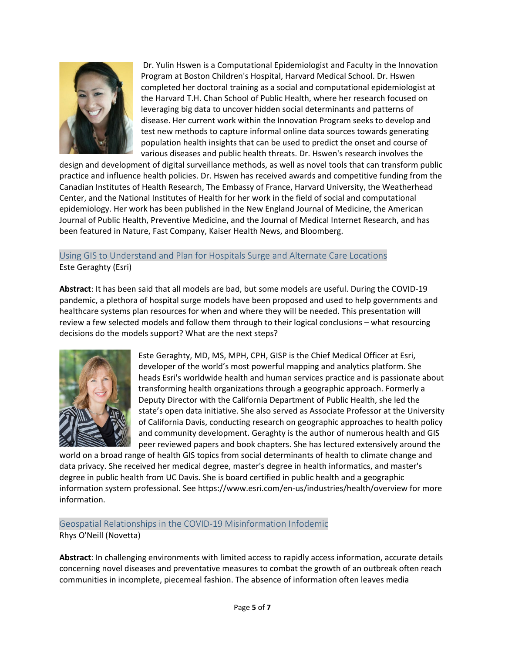

Dr. Yulin Hswen is a Computational Epidemiologist and Faculty in the Innovation Program at Boston Children's Hospital, Harvard Medical School. Dr. Hswen completed her doctoral training as a social and computational epidemiologist at the Harvard T.H. Chan School of Public Health, where her research focused on leveraging big data to uncover hidden social determinants and patterns of disease. Her current work within the Innovation Program seeks to develop and test new methods to capture informal online data sources towards generating population health insights that can be used to predict the onset and course of various diseases and public health threats. Dr. Hswen's research involves the

design and development of digital surveillance methods, as well as novel tools that can transform public practice and influence health policies. Dr. Hswen has received awards and competitive funding from the Canadian Institutes of Health Research, The Embassy of France, Harvard University, the Weatherhead Center, and the National Institutes of Health for her work in the field of social and computational epidemiology. Her work has been published in the New England Journal of Medicine, the American Journal of Public Health, Preventive Medicine, and the Journal of Medical Internet Research, and has been featured in Nature, Fast Company, Kaiser Health News, and Bloomberg.

Using GIS to Understand and Plan for Hospitals Surge and Alternate Care Locations Este Geraghty (Esri)

**Abstract**: It has been said that all models are bad, but some models are useful. During the COVID-19 pandemic, a plethora of hospital surge models have been proposed and used to help governments and healthcare systems plan resources for when and where they will be needed. This presentation will review a few selected models and follow them through to their logical conclusions – what resourcing decisions do the models support? What are the next steps?



Este Geraghty, MD, MS, MPH, CPH, GISP is the Chief Medical Officer at Esri, developer of the world's most powerful mapping and analytics platform. She heads Esri's worldwide health and human services practice and is passionate about transforming health organizations through a geographic approach. Formerly a Deputy Director with the California Department of Public Health, she led the state's open data initiative. She also served as Associate Professor at the University of California Davis, conducting research on geographic approaches to health policy and community development. Geraghty is the author of numerous health and GIS peer reviewed papers and book chapters. She has lectured extensively around the

world on a broad range of health GIS topics from social determinants of health to climate change and data privacy. She received her medical degree, master's degree in health informatics, and master's degree in public health from UC Davis. She is board certified in public health and a geographic information system professional. See https://www.esri.com/en-us/industries/health/overview for more information.

Geospatial Relationships in the COVID-19 Misinformation Infodemic

Rhys O'Neill (Novetta)

**Abstract**: In challenging environments with limited access to rapidly access information, accurate details concerning novel diseases and preventative measures to combat the growth of an outbreak often reach communities in incomplete, piecemeal fashion. The absence of information often leaves media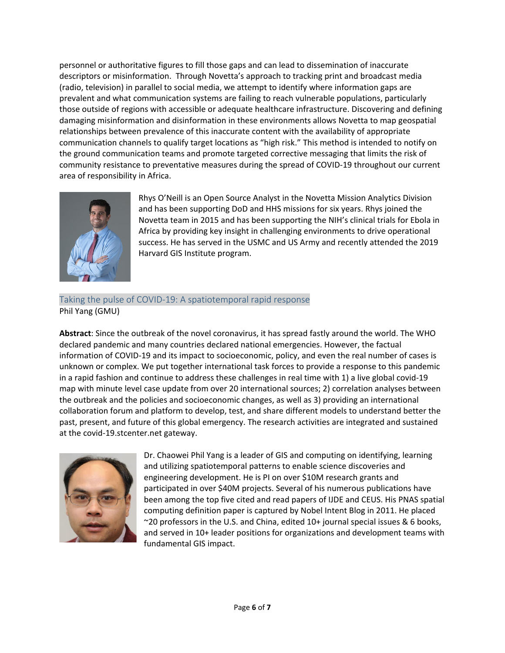personnel or authoritative figures to fill those gaps and can lead to dissemination of inaccurate descriptors or misinformation. Through Novetta's approach to tracking print and broadcast media (radio, television) in parallel to social media, we attempt to identify where information gaps are prevalent and what communication systems are failing to reach vulnerable populations, particularly those outside of regions with accessible or adequate healthcare infrastructure. Discovering and defining damaging misinformation and disinformation in these environments allows Novetta to map geospatial relationships between prevalence of this inaccurate content with the availability of appropriate communication channels to qualify target locations as "high risk." This method is intended to notify on the ground communication teams and promote targeted corrective messaging that limits the risk of community resistance to preventative measures during the spread of COVID-19 throughout our current area of responsibility in Africa.



Rhys O'Neill is an Open Source Analyst in the Novetta Mission Analytics Division and has been supporting DoD and HHS missions for six years. Rhys joined the Novetta team in 2015 and has been supporting the NIH's clinical trials for Ebola in Africa by providing key insight in challenging environments to drive operational success. He has served in the USMC and US Army and recently attended the 2019 Harvard GIS Institute program.

### Taking the pulse of COVID-19: A spatiotemporal rapid response Phil Yang (GMU)

**Abstract**: Since the outbreak of the novel coronavirus, it has spread fastly around the world. The WHO declared pandemic and many countries declared national emergencies. However, the factual information of COVID-19 and its impact to socioeconomic, policy, and even the real number of cases is unknown or complex. We put together international task forces to provide a response to this pandemic in a rapid fashion and continue to address these challenges in real time with 1) a live global covid-19 map with minute level case update from over 20 international sources; 2) correlation analyses between the outbreak and the policies and socioeconomic changes, as well as 3) providing an international collaboration forum and platform to develop, test, and share different models to understand better the past, present, and future of this global emergency. The research activities are integrated and sustained at the covid-19.stcenter.net gateway.



Dr. Chaowei Phil Yang is a leader of GIS and computing on identifying, learning and utilizing spatiotemporal patterns to enable science discoveries and engineering development. He is PI on over \$10M research grants and participated in over \$40M projects. Several of his numerous publications have been among the top five cited and read papers of IJDE and CEUS. His PNAS spatial computing definition paper is captured by Nobel Intent Blog in 2011. He placed ~20 professors in the U.S. and China, edited 10+ journal special issues & 6 books, and served in 10+ leader positions for organizations and development teams with fundamental GIS impact.